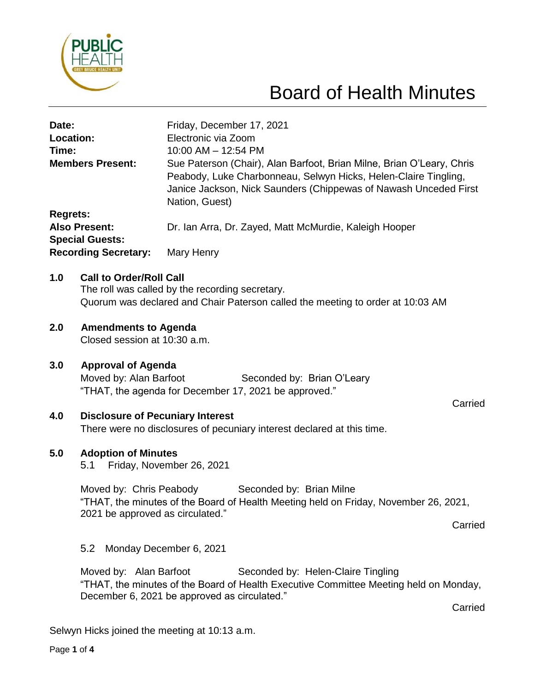

# Board of Health Minutes

| Date:<br>Location:<br>Time:<br><b>Members Present:</b> |                                                                                                                                                                                            | Friday, December 17, 2021<br>Electronic via Zoom<br>10:00 AM - 12:54 PM<br>Sue Paterson (Chair), Alan Barfoot, Brian Milne, Brian O'Leary, Chris<br>Peabody, Luke Charbonneau, Selwyn Hicks, Helen-Claire Tingling,<br>Janice Jackson, Nick Saunders (Chippewas of Nawash Unceded First<br>Nation, Guest) |         |
|--------------------------------------------------------|--------------------------------------------------------------------------------------------------------------------------------------------------------------------------------------------|-----------------------------------------------------------------------------------------------------------------------------------------------------------------------------------------------------------------------------------------------------------------------------------------------------------|---------|
| <b>Regrets:</b>                                        |                                                                                                                                                                                            |                                                                                                                                                                                                                                                                                                           |         |
| <b>Also Present:</b><br><b>Special Guests:</b>         |                                                                                                                                                                                            | Dr. Ian Arra, Dr. Zayed, Matt McMurdie, Kaleigh Hooper                                                                                                                                                                                                                                                    |         |
|                                                        | <b>Recording Secretary:</b>                                                                                                                                                                | Mary Henry                                                                                                                                                                                                                                                                                                |         |
| 1.0                                                    | <b>Call to Order/Roll Call</b><br>The roll was called by the recording secretary.<br>Quorum was declared and Chair Paterson called the meeting to order at 10:03 AM                        |                                                                                                                                                                                                                                                                                                           |         |
| 2.0                                                    | <b>Amendments to Agenda</b><br>Closed session at 10:30 a.m.                                                                                                                                |                                                                                                                                                                                                                                                                                                           |         |
| 3.0                                                    | <b>Approval of Agenda</b><br>Moved by: Alan Barfoot<br>Seconded by: Brian O'Leary<br>"THAT, the agenda for December 17, 2021 be approved."<br>Carried                                      |                                                                                                                                                                                                                                                                                                           |         |
| 4.0                                                    | <b>Disclosure of Pecuniary Interest</b><br>There were no disclosures of pecuniary interest declared at this time.                                                                          |                                                                                                                                                                                                                                                                                                           |         |
| 5.0                                                    | <b>Adoption of Minutes</b><br>5.1 Friday, November 26, 2021                                                                                                                                |                                                                                                                                                                                                                                                                                                           |         |
|                                                        | Moved by: Chris Peabody<br>Seconded by: Brian Milne<br>"THAT, the minutes of the Board of Health Meeting held on Friday, November 26, 2021,<br>2021 be approved as circulated."<br>Carried |                                                                                                                                                                                                                                                                                                           |         |
|                                                        | 5.2<br>Monday December 6, 2021                                                                                                                                                             |                                                                                                                                                                                                                                                                                                           |         |
|                                                        | Moved by: Alan Barfoot                                                                                                                                                                     | Seconded by: Helen-Claire Tingling<br>"THAT, the minutes of the Board of Health Executive Committee Meeting held on Monday,<br>December 6, 2021 be approved as circulated."                                                                                                                               | Carried |

Selwyn Hicks joined the meeting at 10:13 a.m.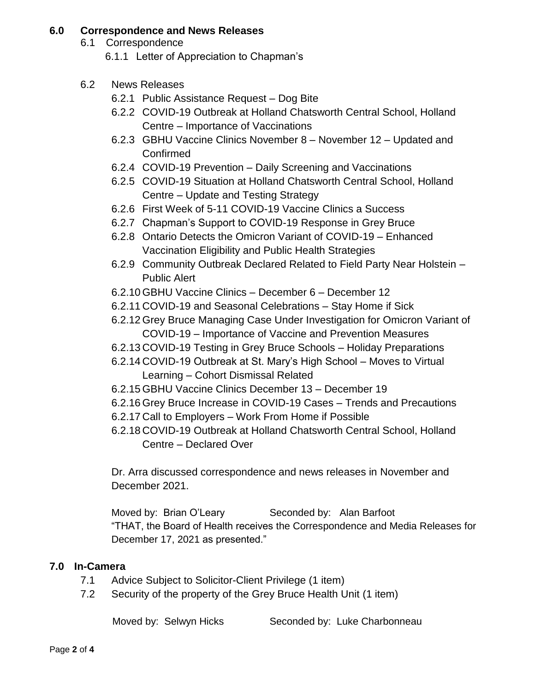### **6.0 Correspondence and News Releases**

6.1 Correspondence

6.1.1 Letter of Appreciation to Chapman's

- 6.2 News Releases
	- 6.2.1 Public Assistance Request Dog Bite
	- 6.2.2 COVID-19 Outbreak at Holland Chatsworth Central School, Holland Centre – Importance of Vaccinations
	- 6.2.3 GBHU Vaccine Clinics November 8 November 12 Updated and Confirmed
	- 6.2.4 COVID-19 Prevention Daily Screening and Vaccinations
	- 6.2.5 COVID-19 Situation at Holland Chatsworth Central School, Holland Centre – Update and Testing Strategy
	- 6.2.6 First Week of 5-11 COVID-19 Vaccine Clinics a Success
	- 6.2.7 Chapman's Support to COVID-19 Response in Grey Bruce
	- 6.2.8 Ontario Detects the Omicron Variant of COVID-19 Enhanced Vaccination Eligibility and Public Health Strategies
	- 6.2.9 Community Outbreak Declared Related to Field Party Near Holstein Public Alert
	- 6.2.10 GBHU Vaccine Clinics December 6 December 12
	- 6.2.11 COVID-19 and Seasonal Celebrations Stay Home if Sick
	- 6.2.12 Grey Bruce Managing Case Under Investigation for Omicron Variant of COVID-19 – Importance of Vaccine and Prevention Measures
	- 6.2.13 COVID-19 Testing in Grey Bruce Schools Holiday Preparations
	- 6.2.14 COVID-19 Outbreak at St. Mary's High School Moves to Virtual Learning – Cohort Dismissal Related
	- 6.2.15 GBHU Vaccine Clinics December 13 December 19
	- 6.2.16 Grey Bruce Increase in COVID-19 Cases Trends and Precautions
	- 6.2.17 Call to Employers Work From Home if Possible
	- 6.2.18 COVID-19 Outbreak at Holland Chatsworth Central School, Holland Centre – Declared Over

Dr. Arra discussed correspondence and news releases in November and December 2021.

Moved by: Brian O'Leary Seconded by: Alan Barfoot "THAT, the Board of Health receives the Correspondence and Media Releases for December 17, 2021 as presented."

## **7.0 In-Camera**

- 7.1 Advice Subject to Solicitor-Client Privilege (1 item)
- 7.2 Security of the property of the Grey Bruce Health Unit (1 item)

Moved by: Selwyn Hicks Seconded by: Luke Charbonneau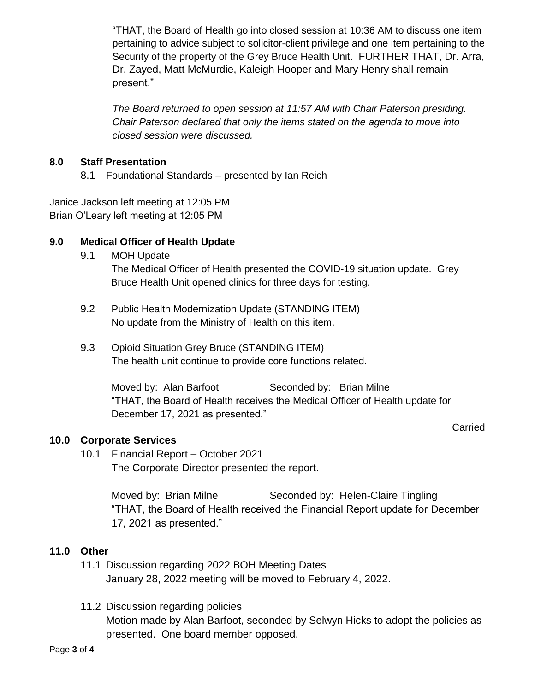"THAT, the Board of Health go into closed session at 10:36 AM to discuss one item pertaining to advice subject to solicitor-client privilege and one item pertaining to the Security of the property of the Grey Bruce Health Unit. FURTHER THAT, Dr. Arra, Dr. Zayed, Matt McMurdie, Kaleigh Hooper and Mary Henry shall remain present."

*The Board returned to open session at 11:57 AM with Chair Paterson presiding. Chair Paterson declared that only the items stated on the agenda to move into closed session were discussed.*

### **8.0 Staff Presentation**

8.1 Foundational Standards – presented by Ian Reich

Janice Jackson left meeting at 12:05 PM Brian O'Leary left meeting at 12:05 PM

## **9.0 Medical Officer of Health Update**

- 9.1 MOH Update The Medical Officer of Health presented the COVID-19 situation update. Grey Bruce Health Unit opened clinics for three days for testing.
- 9.2 Public Health Modernization Update (STANDING ITEM) No update from the Ministry of Health on this item.
- 9.3 Opioid Situation Grey Bruce (STANDING ITEM) The health unit continue to provide core functions related.

Moved by: Alan Barfoot Seconded by: Brian Milne "THAT, the Board of Health receives the Medical Officer of Health update for December 17, 2021 as presented."

#### Carried

## **10.0 Corporate Services**

10.1 Financial Report – October 2021 The Corporate Director presented the report.

> Moved by: Brian Milne Seconded by: Helen-Claire Tingling "THAT, the Board of Health received the Financial Report update for December 17, 2021 as presented."

#### **11.0 Other**

- 11.1 Discussion regarding 2022 BOH Meeting Dates January 28, 2022 meeting will be moved to February 4, 2022.
- 11.2 Discussion regarding policies Motion made by Alan Barfoot, seconded by Selwyn Hicks to adopt the policies as presented. One board member opposed.